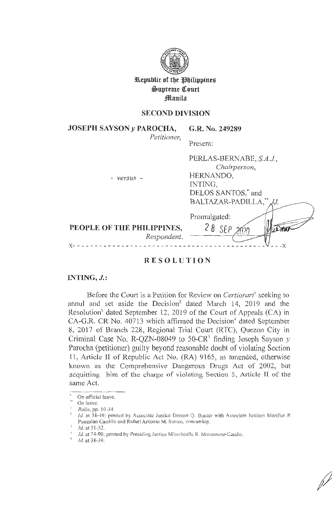

**ll\epublic of tbe !lbilipptneg**   $\mathfrak{S}$ upreme Court **f**lanila

# **SECOND DIVISION**

**JOSEPH SAYSON** *y* **PAROCHA,**  *Petitioner,* 

# **G.R. No. 249289**

PERLAS-BERNABE, *S.A.J,* 

Present:

| Respondent.                |                          |
|----------------------------|--------------------------|
| PEOPLE OF THE PHILIPPINES, | $28$ SEP                 |
|                            | Promulgated:             |
|                            | BALTAZAR-PADILLA, ** JJ. |
|                            | DELOS SANTOS,* and       |
|                            | INTING,                  |
| $- versus -$               | HERNANDO,                |
|                            | Chairperson,             |

# **RESOL U TION**

# **INTING, J.:**

Before the Court is a Petition for Review on *Certiorari'* seeking to annul and set aside the Decision<sup>2</sup> dated March 14, 2019 and the Resolution<sup>3</sup> dated September 12, 2019 of the Court of Appeals (CA) in  $CA-G.R.$  CR No. 40713 which affirmed the Decision<sup>4</sup> dated September 8, 2017 of Branch 228, Regional Trial Court (RTC), Quezon City in Criminal Case No. R-QZN-08049 to 50-CR<sup>5</sup> finding Joseph Sayson  $y$ Parocha (petitioner) guilty beyond reasonable doubt of violating Section 11 , Article II of Republic Act No. (RA) 9165, as amended, otherwise known as the Comprehensive Dangerous Drugs Act of 2002, but acquitting him of the charge of violating Section 5, Article II of the same Act.

On official leave.  $\Delta\omega$  and  $\omega$ 

On leave.

<sup>&</sup>lt;sup>1</sup> Rollo, pp. 10.34.

 $\frac{3}{4}$  Id. at 38-49; penned by Associate Justice Danton Q. Bueser with Associate Justices Mariflor P. Punzalan Castillo and Rafael Antonio M. Santos, concurring.

 $1d.$  at  $51-52$ .

 $Id$ . at 74-90; penned by Presiding Justice Mitushealla R. Manzancro-Casiño.

*<sup>5</sup>*Id. at 38-39.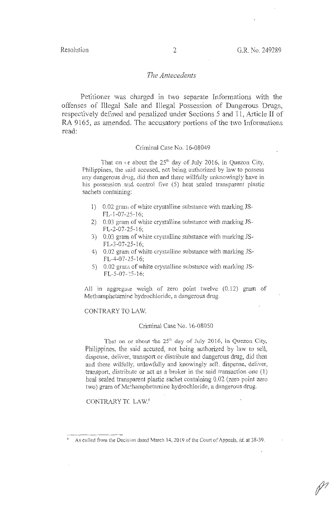# *The Antecedents*

Petitioner was charged in two separate Informations with the offenses of Illegal Sale and Illegal Possession of Dangerous Drugs, respectively defined and penalized under Sections 5 and 11, Article II of RA 9165, as amended. The accusatory portions of the two Informations read:

#### Criminal Case No. 16-08049

That on  $\omega$ r about the 25<sup>th</sup> day of July 2016, in Quezon City, Philippines, the said accused, not being autborized by law to possess any dangerous drug, did then and there willfully unknowingly have in his possession and control five (5) heat sealed transparent plastic sachets containing:

- 1) 0.02 gram of white crystalline substance with marking JS-FL-1-07-25-16;
- 2) 0.03 gram of white crystalline substance with marking JS-FL-2-07-25-16;
- 3) 0.03 gram of white crystalline substance with marking JS- $FL-3-07-25-16;$
- 4) 0.02 gram of white crystalline substance with marking JS-FL-4-07-25-16;
- 5)  $0.02$  gram of white crystalline substance with marking JS- $FL-5-07-25-16;$

All in aggregate weigh of zero point twelve  $(0.12)$  gram of Methamphetamine hydrochloride, a dangerous drug.

CONTRARY TO LAW.

#### Criminal Case No. 16-08050

That on or about the  $25<sup>th</sup>$  day of July 2016, in Quezon City, Philippines, the said accused, not being authorized by law to sell, dispense, deliver, transport or distribute and dangerous drug, did then and there wilfully, unlawfully and knowingly sell, dispense, deliver, transport, distribute or act as a broker in the said transaction one (1) heal sealed transparent plastic sachet containing 0.02 (zero point zero two) gram of Methamphetamine hydrochloride, a dangerous drug.

CONTRARYTC LAW. 6

<sup>6</sup> As culled from the Decision dated March 14, 20 19 of the Court of Appeals, *id.* at 38-39.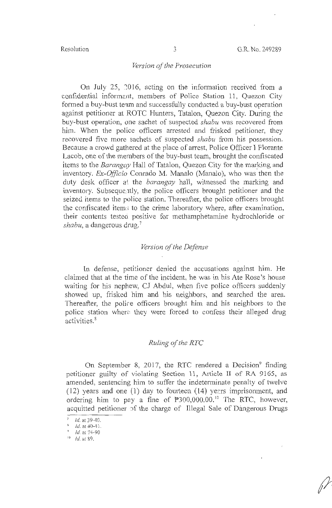# *Version of the Prosecution*

On July 25, 2016, acting on the information received from a confidential informant, members of Police Station 11, Quezon City formed a buy-bust team and successfully conducted a buy-bust operation against petitioner at ROTC Hunters, Tatalon, Quezon City. During the buy-bust operation, one sachet of suspected *shabu* was recovered from him. When the police officers arrested and frisked petitioner, they recovered five more sachets of suspected *shabu* from his possession. Because a crowd gathered at the place of arrest, Police Officer I Florante Lacob, one of the members of the buy-bust team, brought the confiscated items to the *Barangay* Hall of Tatalon, Quezon City for the marking and inventory. *Ex-Officio* Conrado M. Manalo (Manalo), who was then the duty desk officer at: the *barangay* hall, witnessed the marking and inventory. Subseque:1tly, the police officers brought petitioner and the seized items to the police station. Thereafter, the police officers brought the ccnfiscated item:; to the crime laboratory where, after examination, their contents testeci positive for methamphetamine hydrochloride or *shabu,* a dangerous drug. <sup>7</sup>

### *Version of the Defense*

In defense, petitioner denied the accusations against him. He claimed that at the time of the incident, he was in his Ate Rose's house waiting for his nephew, CJ Abdul, when five police officers suddenly showed up, frisked him and his neighbors, and searched the area. Thereafter, the police officers brought him and his neighbors to the police station when: they were forced to confess their alleged drug activities. 8

#### *Ruling of the RTC*

On September 8, 2017, the RTC rendered a Decision<sup>9</sup> finding petitioner guilty of violating Section 11, Article II of RA 9165, as amended, sentencing him to suffer the indeterminate penalty of twelve  $(12)$  years and one  $(1)$  day to fourteen  $(14)$  years imprisonment, and ordering him to pay a fine of  $\overline{P}300,000.00$ .<sup>10</sup> The RTC, however, acquitted petitioner of the charge of Illegal Sale of Dangerous Drugs

 $1d.$  at 39-40.

 $\frac{1}{2}$  Id. at 40-41.<br>
Id. at 74-90

 $^{\prime\prime}$   $\prime$   $\prime$   $\prime$   $\prime$   $\prime$  89.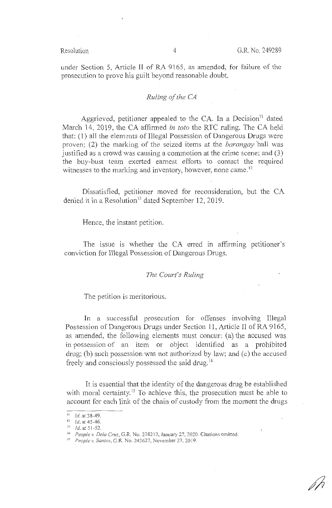under Section 5, Article II of RA 9165, as amended, for failure of the prosecution to prove his guilt beyond reasonable doubt.

# *Ruling of the CA*

Aggrieved, petitioner appealed to the CA. In a Decision<sup>11</sup> dated March 14, 2019, the CA affirmed *in toto* the RTC ruling. The CA held that: (1) all the elements of Illegal Possession of Dangerous Drugs were proven; (2) the marking of the seized items at the *barangay* hall was justified as a crowd was causing a commotion at the crime scene; and (3) the buy-bust team exerted earnest efforts to contact the required witnesses to the marking and inventory, however, none came.<sup>12</sup>

Dissatisfied, petitioner moved for reconsideration, but the CA denied it in a Resolution<sup>13</sup> dated September 12, 2019.

Hence, the instant petition.

The issue is whether the CA erred in affirming petitioner's conviction for Illegal Possession of Dangerous Drugs.

# *The Court's Ruling*

The petition is meritorious.

In a successful prosecution for offenses involving Illegal Possession of Dangerous Drugs under Section 11, Article II of RA 9165, as amended, the following elements must concur: (a) the accused was in possession of an item or object identified as a prohibited  $drag$ ; (b) such possession was not authorized by law; and (c) the accused freely and consciously possessed the said drug.<sup>14</sup>

It is essential that the identity of the dangerous drug be established with moral certainty.<sup>15</sup> To achieve this, the prosecution must be able to account for each link of the chain of custody from the moment the drugs

 $11$  *Id.* at 38-49.

 $12$  *Id.* at 45-46.

<sup>1.1</sup> Id. at 5 1-52. 14 *People v. Dela Cruz,* G.R. No. 2382 12, January 27, 2020. Citations omitted. 15 *People v. Santos,* G.R. No. 243627, November 27, 2019.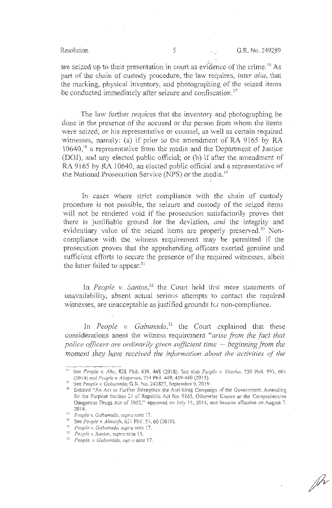$\mathscr{P}$ 

. ' are seized up to their presentation in court as evidence of the crime. <sup>16</sup> As part of the chain of custody procedure, the law requires, *inter alia,* that the marking, physical inventory, and photographing of the seized items be conducted immediately after seizure and confiscation.<sup>17</sup>

The law further requires that the inventory and photographing be done in the presence of the accused or the person from whom the items were seized, or his representative or counsel, as well as certain required witnesses, namely: (a) if prior to the amendment of RA 9165 by RA 10640,<sup>18</sup> a representative from the media and the Department of Justice (DOJ), and any elected public official; or (b) if after the amendment of RA 9165 by RA 10640, an elected public official and a representative of the National Prosecution Service (NPS) or the media. <sup>19</sup>

In cases where strict compliance with the chain of custody procedure is not possible, the seizure and custody of the seized items will not be rendered void if the prosecution satisfactorily proves that there is justifiable ground for the deviation, *and* the integrity and evidentiary value of the seized items are properly preserved.<sup>20</sup> Noncompliance with the witness requirement may be permitted if the prosecution proves that the apprehending officers exerted genuine and sufficient efforts to secure the presence of the required witnesses, albeit the latter failed to appear. $21$ 

In *People v. Santos*,<sup>22</sup> the Court held that mere statements of unavailability, absent actual serious attempts to contact the required witnesses, are unacceptable as justified grounds for non-compliance.

In *People v. Gabunada*<sup>23</sup> the Court explained that these considerations anent the witness requirement *"arise from the fact that*  police officers are ordinarily given sufficient time  $-$  beginning from the *moment they have received the information about the activities of the* 

<sup>&</sup>lt;sup>16</sup> See *People v. Año*, 828 Phil. 439, 448 (2018). See also *People v. Viterbo*, 739 Phil. 593, 601 (2014) and *People v. Alagarme*, 754 Phil. 449, 459-460 (2015).

<sup>&</sup>lt;sup>17</sup> See *People v. Gabunada*, G.R. No. 242827, September 9, 2019.

<sup>&</sup>lt;sup>18</sup> Entitled "An Act to Further Strengthen the Anti-Drug Campaign of the Government, Amending for the Purpose Section 21 of Republic Act No. 9165, Otherwise Known as the 'Comprehensive Dangerous Drugs Act of 2002," approved on July 15, 2014, and became effective on August 7.

<sup>2014.&</sup>lt;br><sup>19</sup> People v. Gabunada, supra note 17.

<sup>&</sup>lt;sup>20</sup> See *People v. Almorfe*, 631 Phil. 51, 60 (2010).<br><sup>21</sup> *People v. Gabunada, supra* note 17.

<sup>21</sup>*People v. Cabunada, supra* note 17. 22 *People v. Santos, supra* nc,te 15.

<sup>&</sup>lt;sup>23</sup> *People. v. Gabunada, supermote 17.*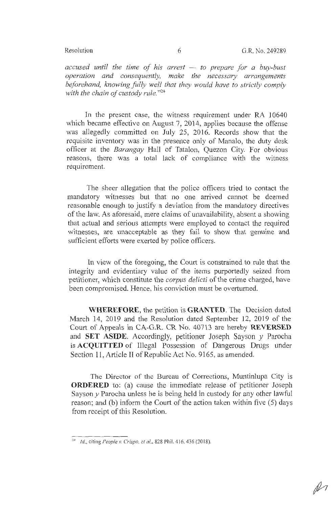*accused until the time of his arrest* - *to prepare for a buy-bust operation and consequently, make the necessary arrangements beforehand, knowing fully well that they would have to strictly comply*  with the chain of custody rule."<sup>24</sup>

In the present case, the witness requirement under RA 10640 which became effective on August 7, 2014, applies because the offense was allegedly committed on July 25, 2016. Records show that the requisite inventory was in the presence only of Manalo, the duty desk officer at the *Barangay* Hall of Tatalon, Quezon City. For obvious reasons, there was a total lack of compliance with the witness requirement.

The sheer allegation that the police officers tried to contact the mandatory witnesses but that no one arrived cannot be deemed reasonable enough to justify a deviation from the mandatory directives of the law. As aforesaid, mere claims of unavailability, absent a showing that actual and serious attempts were employed to contact the required witnesses, are unacceptable as they fail to show that genuine and sufficient efforts were exerted by police officers.

In view of the foregoing, the Court is constrained to rule that the integrity and evidentiary value of the items purportedly seized from petitioner, which constitute the *corpus delicti* of the crime charged, have been compromised. Hence, his conviction must be overturned.

**WHEREFORE,** the petition is **GRANTED.** The Decision dated March 14, 2019 and the Resolution dated September 12, 2019 of the Court of Appeals in CA-G.R. CR No. 40713 are hereby **REVERSED** and **SET ASIDE.** Accordingly, petitioner Joseph Sayson y Parocha is **ACQUITTED** of Illegal Possession of Dangerous Drugs under Section 11, Article II of Republic Act No. 9165, as amended.

The Director of the Bureau of Corrections, Muntinlupa City is **ORDERED** to: (a) cause the immediate release of petitioner Joseph Sayson *y* Parocha unless he is being held in custody for any other lawful reason; and (b) inform the Court of the action taken within five (5) days from receipt of this Resolution.

<sup>2</sup> • <sup>1</sup>*Id.,* citing *People v. Crispo, et al.,* 828 Phil. 4 16, 436(2018).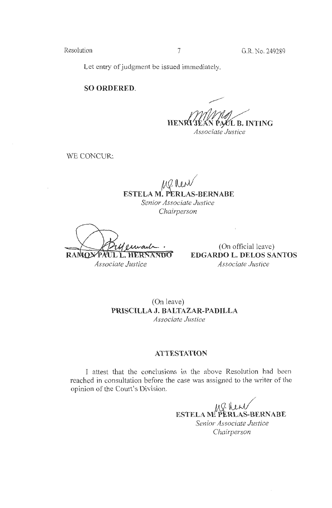Let entry of judgment be issued immediately.

**SO ORDERED.** 

PAUL B. INTING **HENRI** *Associate Justice* 

WE CONCUR:

MP. New **ESTELA M. PERLAS-BERNABE** *Senior Associate Justice Chairperson* 

**RAMON** PAUL L. HERNANDO *Associate Justice* 

(On official leave) **EDGARDO L. DELOS SANTOS**  *Associate Justice* 

(On leave) **PRISCILLA J. BALTAZAR-PADILLA**  *Associate Justice* 

# **ATTESTATION**

I attest that the conclusions in the above Resolution had been reached in consultation before the case was assigned to the writer of the opinion of the Court's Division.

> **ESTELA M! PERLAS-BERNABE** *Senior Associate Justice Chairperson*